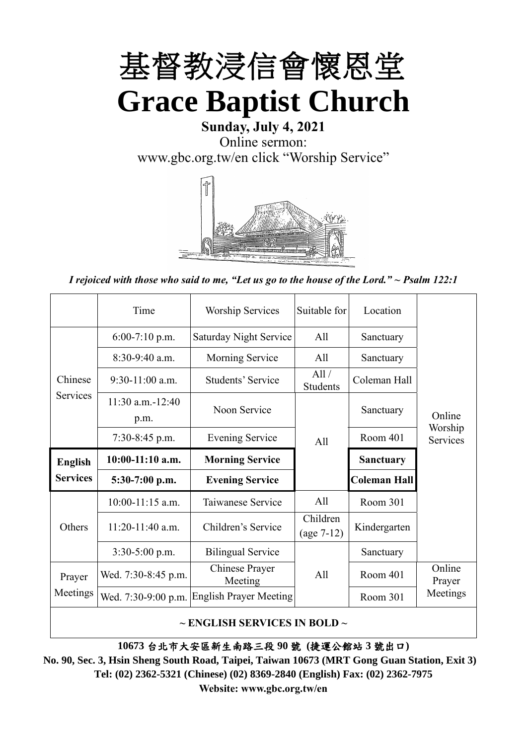

# **Sunday, July 4, 2021** Online sermon: [www.gbc.org.tw/en](http://www.gbc.org.tw/en) click "Worship Service"



*I rejoiced with those who said to me, "Let us go to the house of the Lord." ~ Psalm 122:1*

|                 | Time                          | <b>Worship Services</b>       | Suitable for             | Location            |                     |
|-----------------|-------------------------------|-------------------------------|--------------------------|---------------------|---------------------|
|                 | $6:00-7:10$ p.m.              | <b>Saturday Night Service</b> | All                      | Sanctuary           |                     |
|                 | $8:30-9:40$ a.m.              | <b>Morning Service</b>        | A <sup>11</sup>          | Sanctuary           |                     |
| Chinese         | $9:30-11:00$ a.m.             | Students' Service             | All/<br>Students         | Coleman Hall        |                     |
| Services        | $11:30$ a.m. $-12:40$<br>p.m. | Noon Service                  |                          | Sanctuary           | Online              |
|                 | $7:30-8:45$ p.m.              | <b>Evening Service</b>        | A11                      | Room 401            | Worship<br>Services |
| <b>English</b>  | $10:00-11:10$ a.m.            | <b>Morning Service</b>        |                          | <b>Sanctuary</b>    |                     |
|                 |                               |                               |                          |                     |                     |
| <b>Services</b> | $5:30-7:00$ p.m.              | <b>Evening Service</b>        |                          | <b>Coleman Hall</b> |                     |
|                 | $10:00-11:15$ a.m.            | Taiwanese Service             | A11                      | Room 301            |                     |
| Others          | $11:20-11:40$ a.m.            | Children's Service            | Children<br>$(age 7-12)$ | Kindergarten        |                     |
|                 | $3:30-5:00$ p.m.              | <b>Bilingual Service</b>      |                          | Sanctuary           |                     |
| Prayer          | Wed. 7:30-8:45 p.m.           | Chinese Prayer<br>Meeting     | A <sup>11</sup>          | Room 401            | Online<br>Prayer    |
| Meetings        | Wed. 7:30-9:00 p.m.           | <b>English Prayer Meeting</b> |                          | Room 301            | Meetings            |

**~ ENGLISH SERVICES IN BOLD ~**

**10673** 台北市大安區新生南路三段 **90** 號 **(**捷運公館站 **3** 號出口**)**

**No. 90, Sec. 3, Hsin Sheng South Road, Taipei, Taiwan 10673 (MRT Gong Guan Station, Exit 3) Tel: (02) 2362-5321 (Chinese) (02) 8369-2840 (English) Fax: (02) 2362-7975 Website: www.gbc.org.tw/en**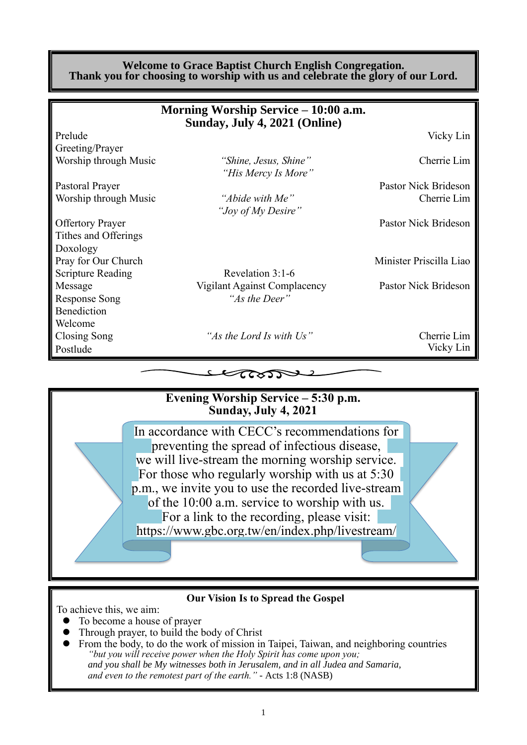#### **Welcome to Grace Baptist Church English Congregation. Thank you for choosing to worship with us and celebrate the glory of our Lord.**

|                          | Morning Worship Service – 10:00 a.m.<br>Sunday, July 4, 2021 (Online) |                         |
|--------------------------|-----------------------------------------------------------------------|-------------------------|
| Prelude                  |                                                                       | Vicky Lin               |
| Greeting/Prayer          |                                                                       |                         |
| Worship through Music    | "Shine, Jesus, Shine"<br>"His Mercy Is More"                          | Cherrie Lim             |
| Pastoral Prayer          |                                                                       | Pastor Nick Brideson    |
| Worship through Music    | "Abide with Me"<br>"Joy of My Desire"                                 | Cherrie Lim             |
| <b>Offertory Prayer</b>  |                                                                       | Pastor Nick Brideson    |
| Tithes and Offerings     |                                                                       |                         |
| Doxology                 |                                                                       |                         |
| Pray for Our Church      |                                                                       | Minister Priscilla Liao |
| <b>Scripture Reading</b> | Revelation 3:1-6                                                      |                         |
| Message                  | Vigilant Against Complacency                                          | Pastor Nick Brideson    |
| <b>Response Song</b>     | "As the Deer"                                                         |                         |
| Benediction              |                                                                       |                         |
| Welcome                  |                                                                       |                         |
| Closing Song             | "As the Lord Is with Us"                                              | Cherrie Lim             |
| Postlude                 |                                                                       | Vicky Lin               |
|                          |                                                                       |                         |



#### **Our Vision Is to Spread the Gospel**

To achieve this, we aim:

- ⚫ To become a house of prayer
- ⚫ Through prayer, to build the body of Christ
- ⚫ From the body, to do the work of mission in Taipei, Taiwan, and neighboring countries *"but you will receive power when the Holy Spirit has come upon you; and you shall be My witnesses both in Jerusalem, and in all Judea and Samaria, and even to the remotest part of the earth." -* Acts 1:8 (NASB)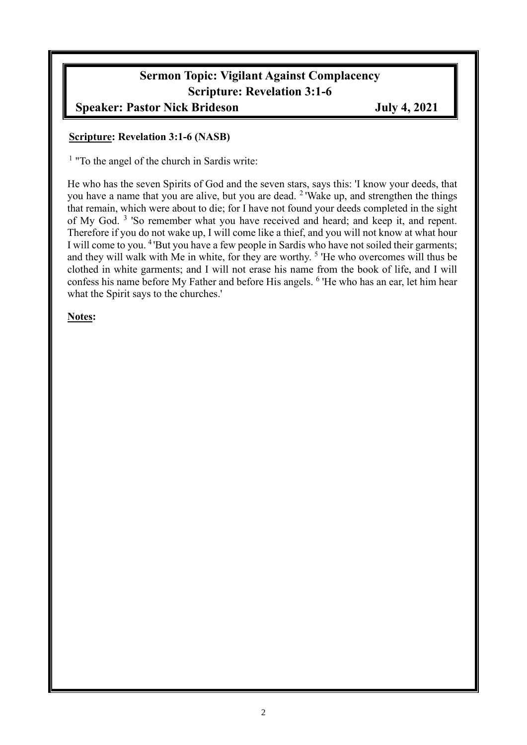# **Sermon Topic: Vigilant Against Complacency Scripture: Revelation 3:1-6**

# **Speaker: Pastor Nick Brideson July 4, 2021**

#### **Scripture: Revelation 3:1-6 (NASB)**

<sup>1</sup> "To the angel of the church in Sardis write:

He who has the seven Spirits of God and the seven stars, says this: 'I know your deeds, that you have a name that you are alive, but you are dead. <sup>2</sup>'Wake up, and strengthen the things that remain, which were about to die; for I have not found your deeds completed in the sight of My God.<sup>3</sup> 'So remember what you have received and heard; and keep it, and repent. Therefore if you do not wake up, I will come like a thief, and you will not know at what hour I will come to you. <sup>4</sup>'But you have a few people in Sardis who have not soiled their garments; and they will walk with Me in white, for they are worthy.<sup>5</sup> 'He who overcomes will thus be clothed in white garments; and I will not erase his name from the book of life, and I will confess his name before My Father and before His angels. <sup>6</sup> 'He who has an ear, let him hear what the Spirit says to the churches.'

#### **Notes:**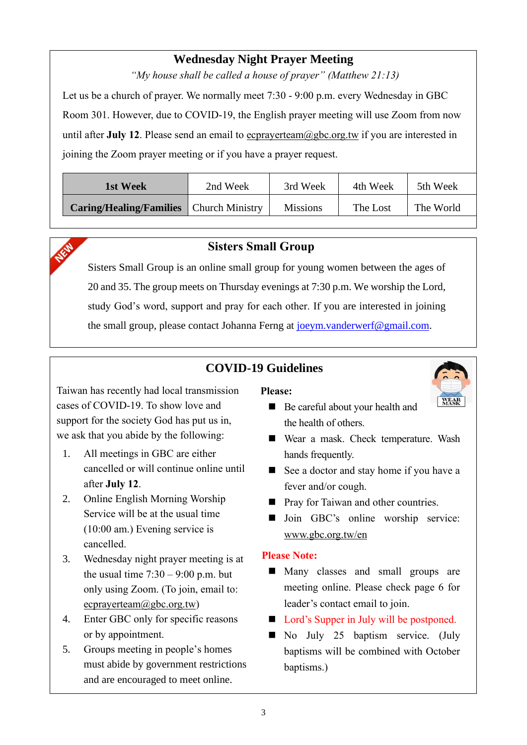# **Wednesday Night Prayer Meeting**

*"My house shall be called a house of prayer" (Matthew 21:13)*

Let us be a church of prayer. We normally meet 7:30 - 9:00 p.m. every Wednesday in GBC Room 301. However, due to COVID-19, the English prayer meeting will use Zoom from now until after **July 12**. Please send an email to ecprayerteam@gbc.org.tw if you are interested in joining the Zoom prayer meeting or if you have a prayer request.

| 1st Week                                       | 2nd Week |                 | 4th Week | 5th Week  |
|------------------------------------------------|----------|-----------------|----------|-----------|
| <b>Caring/Healing/Families</b> Church Ministry |          | <b>Missions</b> | The Lost | The World |



### **Sisters Small Group**

Sisters Small Group is an online small group for young women between the ages of 20 and 35. The group meets on Thursday evenings at 7:30 p.m. We worship the Lord, study God's word, support and pray for each other. If you are interested in joining the small group, please contact Johanna Ferng at joeym, vanderwerf@gmail.com.

## **COVID-19 Guidelines**

Taiwan has recently had local transmission cases of COVID-19. To show love and support for the society God has put us in, we ask that you abide by the following:

- 1. All meetings in GBC are either cancelled or will continue online until after **July 12**.
- 2. Online English Morning Worship Service will be at the usual time (10:00 am.) Evening service is cancelled.
- 3. Wednesday night prayer meeting is at the usual time  $7:30 - 9:00$  p.m. but only using Zoom. (To join, email to: ecprayerteam@gbc.org.tw)
- 4. Enter GBC only for specific reasons or by appointment.
- 5. Groups meeting in people's homes must abide by government restrictions and are encouraged to meet online.

**Please:**



- Be careful about your health and the health of others.
- Wear a mask. Check temperature. Wash hands frequently.
- See a doctor and stay home if you have a fever and/or cough.
- Pray for Taiwan and other countries.
- Join GBC's online worship service: www.gbc.org.tw/en

#### **Please Note:**

- Many classes and small groups are meeting online. Please check page 6 for leader's contact email to join.
- Lord's Supper in July will be postponed.
- No July 25 baptism service. (July baptisms will be combined with October baptisms.)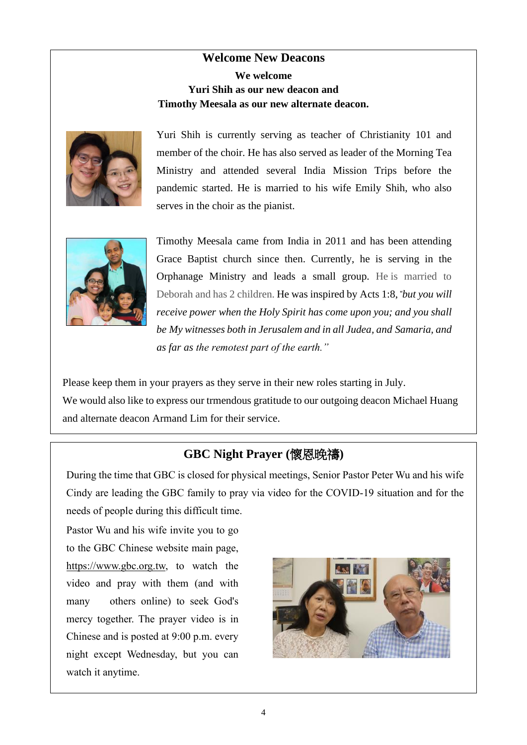## **Welcome New Deacons We welcome Yuri Shih as our new deacon and Timothy Meesala as our new alternate deacon.**



Yuri Shih is currently serving as teacher of Christianity 101 and member of the choir. He has also served as leader of the Morning Tea Ministry and attended several India Mission Trips before the pandemic started. He is married to his wife Emily Shih, who also serves in the choir as the pianist.



Timothy Meesala came from India in 2011 and has been attending Grace Baptist church since then. Currently, he is serving in the Orphanage Ministry and leads a small group. He is married to Deborah and has 2 children. He was inspired by Acts 1:8, *"but you will receive power when the Holy Spirit has come upon you; and you shall be My witnesses both in Jerusalem and in all Judea, and Samaria, and as far as the remotest part of the earth."*

Please keep them in your prayers as they serve in their new roles starting in July. We would also like to express our trmendous gratitude to our outgoing deacon Michael Huang and alternate deacon Armand Lim for their service.

## **GBC Night Prayer (**懷恩晚禱**)**

During the time that GBC is closed for physical meetings, Senior Pastor Peter Wu and his wife Cindy are leading the GBC family to pray via video for the COVID-19 situation and for the needs of people during this difficult time.

Pastor Wu and his wife invite you to go to the GBC Chinese website main page, https://www.gbc.org.tw, to watch the video and pray with them (and with many others online) to seek God's mercy together. The prayer video is in Chinese and is posted at 9:00 p.m. every night except Wednesday, but you can watch it anytime.

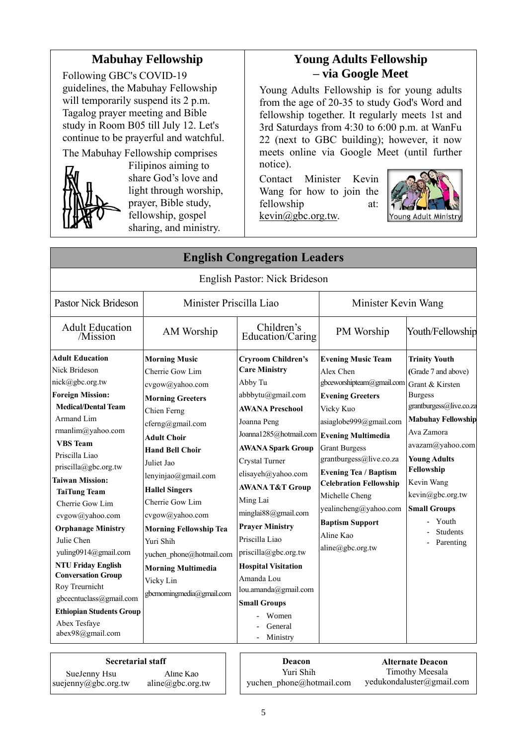## **Mabuhay Fellowship**

Following GBC's COVID-19 guidelines, the Mabuhay Fellowship will temporarily suspend its 2 p.m. Tagalog prayer meeting and Bible study in Room B05 till July 12. Let's continue to be prayerful and watchful.



The Mabuhay Fellowship comprises Filipinos aiming to share God's love and light through worship, prayer, Bible study, fellowship, gospel sharing, and ministry.

# **Young Adults Fellowship – via Google Meet**

Young Adults Fellowship is for young adults from the age of 20-35 to study God's Word and fellowship together. It regularly meets 1st and 3rd Saturdays from 4:30 to 6:00 p.m. at WanFu 22 (next to GBC building); however, it now meets online via Google Meet (until further notice).

Contact Minister Kevin Wang for how to join the fellowship at: [kevin@gbc.org.tw.](mailto:kevin@gbc.org.tw)



|                                         |                               | <b>English Congregation Leaders</b>       |                                           |                           |
|-----------------------------------------|-------------------------------|-------------------------------------------|-------------------------------------------|---------------------------|
|                                         |                               | English Pastor: Nick Brideson             |                                           |                           |
| <b>Pastor Nick Brideson</b>             | Minister Priscilla Liao       |                                           | Minister Kevin Wang                       |                           |
| <b>Adult Education</b><br>/Mission      | AM Worship                    | Children's<br>Education/Caring            | PM Worship                                | Youth/Fellowship          |
| <b>Adult Education</b>                  | <b>Morning Music</b>          | <b>Cryroom Children's</b>                 | <b>Evening Music Team</b>                 | <b>Trinity Youth</b>      |
| Nick Brideson                           | Cherrie Gow Lim               | <b>Care Ministry</b>                      | Alex Chen                                 | (Grade 7 and above)       |
| nick@gbc.org.tw                         | cvgow@yahoo.com               | Abby Tu                                   | gbceworshipteam@gmail.com Grant & Kirsten |                           |
| <b>Foreign Mission:</b>                 | <b>Morning Greeters</b>       | abbbytu@gmail.com                         | <b>Evening Greeters</b>                   | <b>Burgess</b>            |
| <b>Medical/Dental Team</b>              | Chien Ferng                   | <b>AWANA Preschool</b>                    | Vicky Kuo                                 | grantburgess@live.co.za   |
| Armand Lim                              | cferng@gmail.com              | Joanna Peng                               | asiaglobe999@gmail.com                    | <b>Mabuhay Fellowship</b> |
| rmanlim@yahoo.com                       | <b>Adult Choir</b>            | Joanna1285@hotmail.com Evening Multimedia |                                           | Ava Zamora                |
| <b>VBS</b> Team                         | <b>Hand Bell Choir</b>        | <b>AWANA Spark Group</b>                  | <b>Grant Burgess</b>                      | avazam@yahoo.com          |
| Priscilla Liao                          | Juliet Jao                    | Crystal Turner                            | grantburgess@live.co.za                   | <b>Young Adults</b>       |
| priscilla@gbc.org.tw                    | lenyinjao@gmail.com           | elisayeh@yahoo.com                        | <b>Evening Tea / Baptism</b>              | Fellowship                |
| Taiwan Mission:                         | <b>Hallel Singers</b>         | <b>AWANA T&amp;T Group</b>                | <b>Celebration Fellowship</b>             | Kevin Wang                |
| <b>TaiTung Team</b>                     | Cherrie Gow Lim               | Ming Lai                                  | Michelle Cheng                            | kevin@gbc.org.tw          |
| Cherrie Gow Lim                         |                               | minglai88@gmail.com                       | yealincheng@yahoo.com                     | <b>Small Groups</b>       |
| cvgow@yahoo.com                         | cvgow@yahoo.com               | <b>Prayer Ministry</b>                    | <b>Baptism Support</b>                    | Youth                     |
| <b>Orphanage Ministry</b><br>Julie Chen | <b>Morning Fellowship Tea</b> | Priscilla Liao                            | Aline Kao                                 | <b>Students</b>           |
| yuling0914@gmail.com                    | Yuri Shih                     | priscilla@gbc.org.tw                      | aline@gbc.org.tw                          | Parenting                 |
| <b>NTU Friday English</b>               | yuchen phone@hotmail.com      |                                           |                                           |                           |
| <b>Conversation Group</b>               | <b>Morning Multimedia</b>     | <b>Hospital Visitation</b>                |                                           |                           |
| Roy Treurnicht                          | Vicky Lin                     | Amanda Lou<br>lou.amanda@gmail.com        |                                           |                           |
| gbcecntuclass@gmail.com                 | gbcmorningmedia@gmail.com     | <b>Small Groups</b>                       |                                           |                           |
| <b>Ethiopian Students Group</b>         |                               | Women                                     |                                           |                           |
| Abex Tesfaye                            |                               | General                                   |                                           |                           |
| abex98@gmail.com                        |                               | Ministry                                  |                                           |                           |

| <b>Secretarial staff</b> |                            | <b>Deacon</b>            | <b>Alternate Deacon</b>   |
|--------------------------|----------------------------|--------------------------|---------------------------|
| SueJenny Hsu             | Aline Kao                  | Yuri Shih                | Timothy Meesala           |
| suejenny@gbc.org.tw      | $aline(\theta)$ gbc.org.tw | yuchen phone@hotmail.com | yedukondaluster@gmail.com |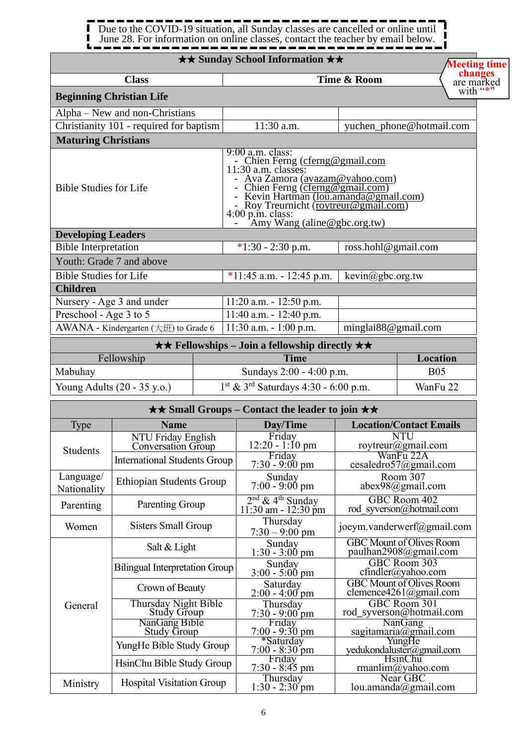#### 1 п Due to the COVID-19 situation, all Sunday classes are cancelled or online until  $\blacksquare$  $\blacksquare$ June 28. For information on online classes, contact the teacher by email below. . I  $\blacksquare$

|                               |                                                  | <b>★★ Sunday School Information ★★</b>                                                                                                                                                                                                                                                              |                              | <b>Meeting time</b>                                       |  |
|-------------------------------|--------------------------------------------------|-----------------------------------------------------------------------------------------------------------------------------------------------------------------------------------------------------------------------------------------------------------------------------------------------------|------------------------------|-----------------------------------------------------------|--|
|                               | <b>Class</b>                                     |                                                                                                                                                                                                                                                                                                     | Time & Room                  | changes                                                   |  |
|                               | <b>Beginning Christian Life</b>                  |                                                                                                                                                                                                                                                                                                     |                              | are marked<br>with "*"                                    |  |
|                               | Alpha – New and non-Christians                   |                                                                                                                                                                                                                                                                                                     |                              |                                                           |  |
|                               | Christianity 101 - required for baptism          | 11:30 a.m.                                                                                                                                                                                                                                                                                          |                              | yuchen_phone@hotmail.com                                  |  |
| <b>Maturing Christians</b>    |                                                  |                                                                                                                                                                                                                                                                                                     |                              |                                                           |  |
| <b>Bible Studies for Life</b> |                                                  | $9:00$ a.m. class:<br>- Chien Ferng (cferng@gmail.com<br>11:30 a.m. classes:<br>- Ava Zamora (avazam@yahoo.com)<br>- Chien Ferng (cferng@gmail.com)<br>- Kevin Hartman ( <u>lou.amanda@gmail.com)</u><br>- Roy Treurnicht (roytreur@gmail.com)<br>4:00 p.m. class:<br>- Amy Wang (aline@gbc.org.tw) |                              |                                                           |  |
| <b>Developing Leaders</b>     |                                                  |                                                                                                                                                                                                                                                                                                     |                              |                                                           |  |
| <b>Bible Interpretation</b>   |                                                  | $*1:30 - 2:30$ p.m.                                                                                                                                                                                                                                                                                 | ross.hohl@gmail.com          |                                                           |  |
| <b>Bible Studies for Life</b> | Youth: Grade 7 and above                         | $*11:45$ a.m. - 12:45 p.m.                                                                                                                                                                                                                                                                          | $\text{kevin}(a)$ gbc.org.tw |                                                           |  |
| <b>Children</b>               |                                                  |                                                                                                                                                                                                                                                                                                     |                              |                                                           |  |
|                               | Nursery - Age 3 and under                        | $11:20$ a.m. $-12:50$ p.m.                                                                                                                                                                                                                                                                          |                              |                                                           |  |
| Preschool - Age 3 to 5        |                                                  | $11:40$ a.m. - $12:40$ p.m.                                                                                                                                                                                                                                                                         |                              |                                                           |  |
|                               | AWANA - Kindergarten $(\pm \text{H})$ to Grade 6 | $11:30$ a.m. $-1:00$ p.m.                                                                                                                                                                                                                                                                           | minglai88@gmail.com          |                                                           |  |
|                               |                                                  | $\star \star$ Fellowships – Join a fellowship directly $\star \star$                                                                                                                                                                                                                                |                              |                                                           |  |
|                               | Fellowship                                       | <b>Time</b>                                                                                                                                                                                                                                                                                         |                              | Location                                                  |  |
| Mabuhay                       |                                                  | Sundays 2:00 - 4:00 p.m.                                                                                                                                                                                                                                                                            |                              | <b>B05</b>                                                |  |
|                               | Young Adults (20 - 35 y.o.)                      | $1^{st}$ & $3^{rd}$ Saturdays 4:30 - 6:00 p.m.                                                                                                                                                                                                                                                      |                              | WanFu 22                                                  |  |
|                               |                                                  | $\star\star$ Small Groups – Contact the leader to join $\star\star$                                                                                                                                                                                                                                 |                              |                                                           |  |
| <b>Type</b>                   | <b>Name</b>                                      | Day/Time                                                                                                                                                                                                                                                                                            |                              | <b>Location/Contact Emails</b>                            |  |
|                               | NTU Friday English<br>Conversation Group         | Friday<br>$12:20 - 1:10$ pm                                                                                                                                                                                                                                                                         |                              | NTU<br>roytreur@gmail.com                                 |  |
| <b>Students</b>               | <b>International Students Group</b>              | Friday<br>$7:30 - 9:00 \text{ pm}$                                                                                                                                                                                                                                                                  |                              | WanFu 22A<br>cesaledro57@gmail.com                        |  |
| Language/<br>Nationality      | <b>Ethiopian Students Group</b>                  | Sunday<br>$7:00 - 9:00 \text{ pm}$                                                                                                                                                                                                                                                                  |                              | Room 307<br>$abex98$ @gmail.com                           |  |
| Parenting                     | Parenting Group                                  | $2nd$ & 4 <sup>th</sup> Sunday<br>11:30 am - 12:30 pm                                                                                                                                                                                                                                               |                              | GBC Room 402<br>rod syverson@hotmail.com                  |  |
| Women                         | <b>Sisters Small Group</b>                       | Thursday<br>$7:30 - 9:00$ pm                                                                                                                                                                                                                                                                        |                              | joeym.vanderwerf@gmail.com                                |  |
|                               | Salt & Light                                     | Sunday<br>$1:30 - 3:00$ pm                                                                                                                                                                                                                                                                          |                              | <b>GBC</b> Mount of Olives Room<br>paulhan2908@gmail.com  |  |
|                               | <b>Bilingual Interpretation Group</b>            | Sunday<br>$3:00 - 5:00 \text{ pm}$                                                                                                                                                                                                                                                                  |                              | GBC Room 303<br>$cfindler(a)$ yahoo.com                   |  |
|                               | Crown of Beauty                                  | Saturday<br>$2:00 - 4:00$ pm                                                                                                                                                                                                                                                                        |                              | <b>GBC Mount of Olives Room</b><br>clemence4261@gmail.com |  |
| General                       | Thursday Night Bible<br>Study Group              | Thursday<br>$7:30 - 9:00$ pm                                                                                                                                                                                                                                                                        |                              | GBC Room 301<br>rod syverson@hotmail.com                  |  |
|                               | NanGang Bible<br><b>Study Group</b>              | Friday<br>$7:00 - 9:30$ pm                                                                                                                                                                                                                                                                          |                              | NanGang                                                   |  |
|                               | YungHe Bible Study Group                         | *Saturday<br>$7:00 - 8:30$ pm                                                                                                                                                                                                                                                                       |                              | sagitamaria@gmail.com<br>yedukondaluster@gmail.com        |  |
|                               | HsinChu Bible Study Group                        | Friday<br>$7:30 - 8:45$ pm                                                                                                                                                                                                                                                                          |                              | <b>HsinChu</b><br>rmanlim@yahoo.com                       |  |
| Ministry                      | <b>Hospital Visitation Group</b>                 | Thursday<br>$1:30 - 2:30$ pm                                                                                                                                                                                                                                                                        |                              | Near GBC<br>lou.amanda@gmail.com                          |  |